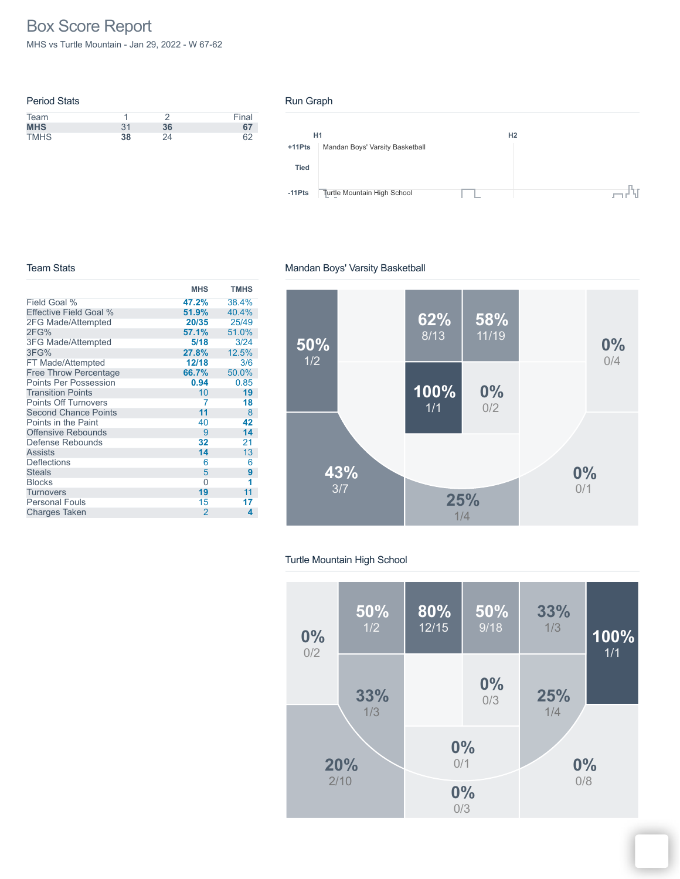# Box Score Report

MHS vs Turtle Mountain - Jan 29, 2022 - W 67-62

|    |    | Final |
|----|----|-------|
| 31 | 36 | 67    |
| 38 | 24 | 62    |
|    |    |       |

### Run Graph



### Team Stats

#### **MHS TMHS** Field Goal % Effective Field Goal % 2FG Made/Attempted 2FG% 3FG Made/Attempted 3FG% FT Made/Attempted Free Throw Percentage Points Per Possession Transition Points Points Off Turnovers Second Chance Points Points in the Paint Offensive Rebounds Defense Rebounds Assists **Deflections Steals** <u>Blocks</u><br>
Elocks 0<br>
Turnovers 19 **Turnovers** Personal Fouls Charges Taken **47.2%** 38.4% **51.9%** 40.4%<br>**20/35** 25/49 **20/35** 25/49 **57.1%** 51.0% **5/18** 3/24<br>**27.8%** 12.5% **27.8%** 12.5% **12/18**<br>**66.7% 6.7%** 50.0%<br>**0.94** 0.85 **94** 0.85<br>10 **19** 10 **19** 7 **18 11** 8 40 **42** 9 **14 32** 21 **14** 13  $\begin{array}{ccc} 6 & & 6 \\ 5 & & 9 \end{array}$ 5 **9 1 19** 11 15 **17** 2 **4**

# Mandan Boys' Varsity Basketball



### Turtle Mountain High School